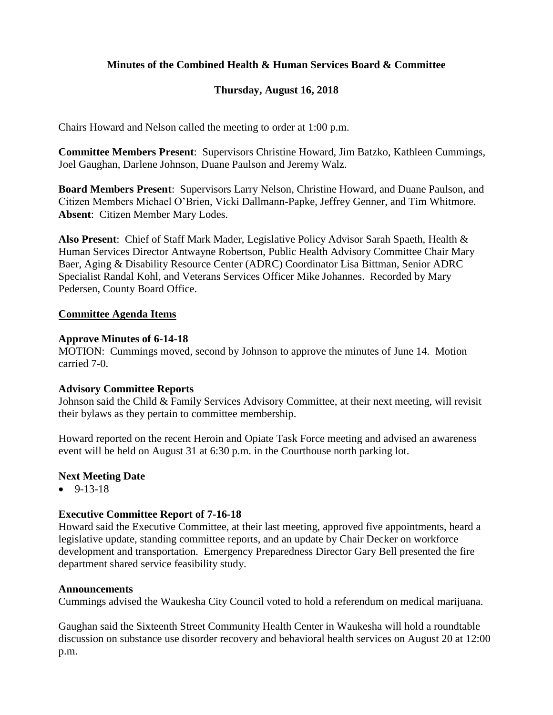# **Minutes of the Combined Health & Human Services Board & Committee**

# **Thursday, August 16, 2018**

Chairs Howard and Nelson called the meeting to order at 1:00 p.m.

**Committee Members Present**: Supervisors Christine Howard, Jim Batzko, Kathleen Cummings, Joel Gaughan, Darlene Johnson, Duane Paulson and Jeremy Walz.

**Board Members Present**: Supervisors Larry Nelson, Christine Howard, and Duane Paulson, and Citizen Members Michael O'Brien, Vicki Dallmann-Papke, Jeffrey Genner, and Tim Whitmore. **Absent**: Citizen Member Mary Lodes.

**Also Present**: Chief of Staff Mark Mader, Legislative Policy Advisor Sarah Spaeth, Health & Human Services Director Antwayne Robertson, Public Health Advisory Committee Chair Mary Baer, Aging & Disability Resource Center (ADRC) Coordinator Lisa Bittman, Senior ADRC Specialist Randal Kohl, and Veterans Services Officer Mike Johannes. Recorded by Mary Pedersen, County Board Office.

## **Committee Agenda Items**

#### **Approve Minutes of 6-14-18**

MOTION: Cummings moved, second by Johnson to approve the minutes of June 14. Motion carried 7-0.

## **Advisory Committee Reports**

Johnson said the Child & Family Services Advisory Committee, at their next meeting, will revisit their bylaws as they pertain to committee membership.

Howard reported on the recent Heroin and Opiate Task Force meeting and advised an awareness event will be held on August 31 at 6:30 p.m. in the Courthouse north parking lot.

## **Next Meeting Date**

 $-9-13-18$ 

## **Executive Committee Report of 7-16-18**

Howard said the Executive Committee, at their last meeting, approved five appointments, heard a legislative update, standing committee reports, and an update by Chair Decker on workforce development and transportation. Emergency Preparedness Director Gary Bell presented the fire department shared service feasibility study.

#### **Announcements**

Cummings advised the Waukesha City Council voted to hold a referendum on medical marijuana.

Gaughan said the Sixteenth Street Community Health Center in Waukesha will hold a roundtable discussion on substance use disorder recovery and behavioral health services on August 20 at 12:00 p.m.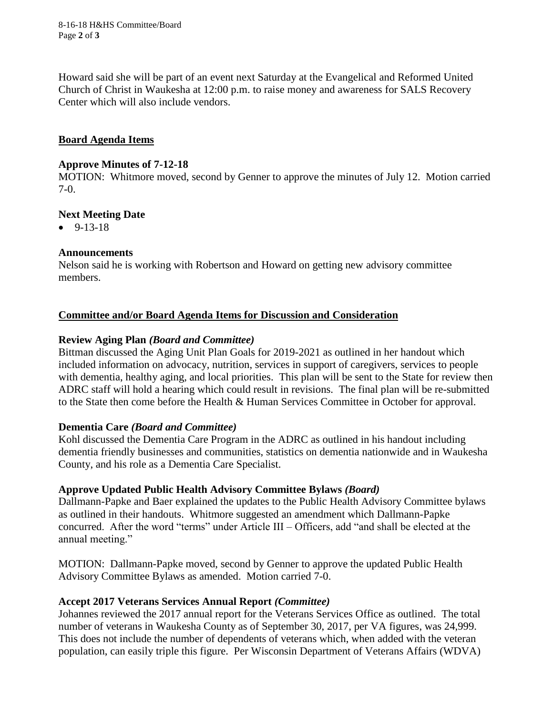8-16-18 H&HS Committee/Board Page **2** of **3**

Howard said she will be part of an event next Saturday at the Evangelical and Reformed United Church of Christ in Waukesha at 12:00 p.m. to raise money and awareness for SALS Recovery Center which will also include vendors.

# **Board Agenda Items**

## **Approve Minutes of 7-12-18**

MOTION: Whitmore moved, second by Genner to approve the minutes of July 12. Motion carried 7-0.

# **Next Meeting Date**

 $-9-13-18$ 

# **Announcements**

Nelson said he is working with Robertson and Howard on getting new advisory committee members.

# **Committee and/or Board Agenda Items for Discussion and Consideration**

# **Review Aging Plan** *(Board and Committee)*

Bittman discussed the Aging Unit Plan Goals for 2019-2021 as outlined in her handout which included information on advocacy, nutrition, services in support of caregivers, services to people with dementia, healthy aging, and local priorities. This plan will be sent to the State for review then ADRC staff will hold a hearing which could result in revisions. The final plan will be re-submitted to the State then come before the Health & Human Services Committee in October for approval.

## **Dementia Care** *(Board and Committee)*

Kohl discussed the Dementia Care Program in the ADRC as outlined in his handout including dementia friendly businesses and communities, statistics on dementia nationwide and in Waukesha County, and his role as a Dementia Care Specialist.

## **Approve Updated Public Health Advisory Committee Bylaws** *(Board)*

Dallmann-Papke and Baer explained the updates to the Public Health Advisory Committee bylaws as outlined in their handouts. Whitmore suggested an amendment which Dallmann-Papke concurred. After the word "terms" under Article III – Officers, add "and shall be elected at the annual meeting."

MOTION: Dallmann-Papke moved, second by Genner to approve the updated Public Health Advisory Committee Bylaws as amended. Motion carried 7-0.

## **Accept 2017 Veterans Services Annual Report** *(Committee)*

Johannes reviewed the 2017 annual report for the Veterans Services Office as outlined. The total number of veterans in Waukesha County as of September 30, 2017, per VA figures, was 24,999. This does not include the number of dependents of veterans which, when added with the veteran population, can easily triple this figure. Per Wisconsin Department of Veterans Affairs (WDVA)